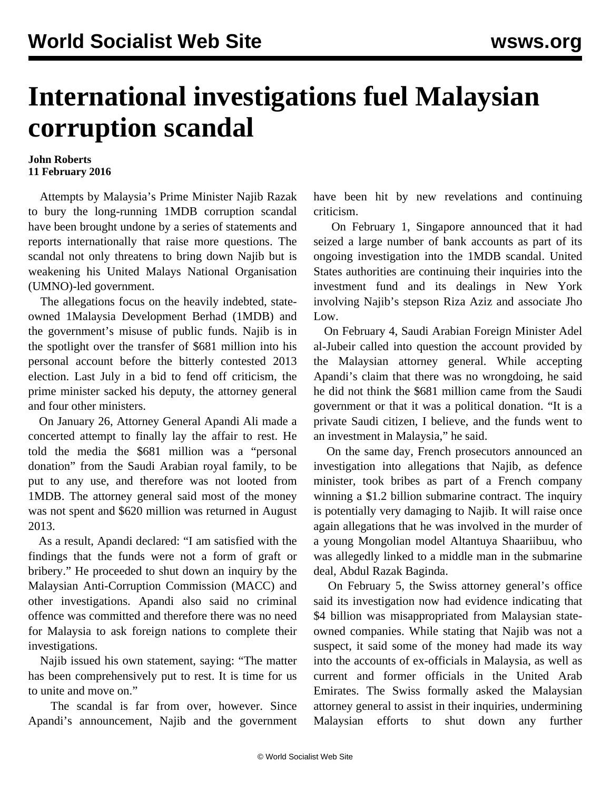## **International investigations fuel Malaysian corruption scandal**

## **John Roberts 11 February 2016**

 Attempts by Malaysia's Prime Minister Najib Razak to bury the long-running 1MDB corruption scandal have been brought undone by a series of statements and reports internationally that raise more questions. The scandal not only threatens to bring down Najib but is weakening his United Malays National Organisation (UMNO)-led government.

 The allegations focus on the heavily indebted, stateowned 1Malaysia Development Berhad (1MDB) and the government's misuse of public funds. Najib is in the spotlight over the transfer of \$681 million into his personal account before the bitterly contested 2013 election. Last July in a bid to fend off criticism, the prime minister sacked his deputy, the attorney general and four other ministers.

 On January 26, Attorney General Apandi Ali made a concerted attempt to finally lay the affair to rest. He told the media the \$681 million was a "personal donation" from the Saudi Arabian royal family, to be put to any use, and therefore was not looted from 1MDB. The attorney general said most of the money was not spent and \$620 million was returned in August 2013.

 As a result, Apandi declared: "I am satisfied with the findings that the funds were not a form of graft or bribery." He proceeded to shut down an inquiry by the Malaysian Anti-Corruption Commission (MACC) and other investigations. Apandi also said no criminal offence was committed and therefore there was no need for Malaysia to ask foreign nations to complete their investigations.

 Najib issued his own statement, saying: "The matter has been comprehensively put to rest. It is time for us to unite and move on."

 The scandal is far from over, however. Since Apandi's announcement, Najib and the government have been hit by new revelations and continuing criticism.

 On February 1, Singapore announced that it had seized a large number of bank accounts as part of its ongoing investigation into the 1MDB scandal. United States authorities are continuing their inquiries into the investment fund and its dealings in New York involving Najib's stepson Riza Aziz and associate Jho Low.

 On February 4, Saudi Arabian Foreign Minister Adel al-Jubeir called into question the account provided by the Malaysian attorney general. While accepting Apandi's claim that there was no wrongdoing, he said he did not think the \$681 million came from the Saudi government or that it was a political donation. "It is a private Saudi citizen, I believe, and the funds went to an investment in Malaysia," he said.

 On the same day, French prosecutors announced an investigation into allegations that Najib, as defence minister, took bribes as part of a French company winning a \$1.2 billion submarine contract. The inquiry is potentially very damaging to Najib. It will raise once again allegations that he was involved in the murder of a young Mongolian model Altantuya Shaariibuu, who was allegedly linked to a middle man in the submarine deal, Abdul Razak Baginda.

 On February 5, the Swiss attorney general's office said its investigation now had evidence indicating that \$4 billion was misappropriated from Malaysian stateowned companies. While stating that Najib was not a suspect, it said some of the money had made its way into the accounts of ex-officials in Malaysia, as well as current and former officials in the United Arab Emirates. The Swiss formally asked the Malaysian attorney general to assist in their inquiries, undermining Malaysian efforts to shut down any further